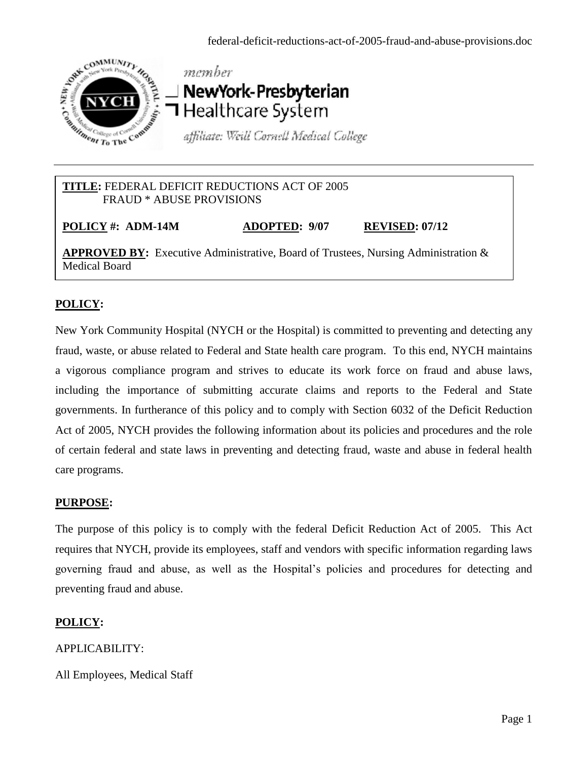

## **TITLE:** FEDERAL DEFICIT REDUCTIONS ACT OF 2005 FRAUD \* ABUSE PROVISIONS

**POLICY** #: ADM-14M **ADOPTED:** 9/07 **REVISED:** 07/12

**APPROVED BY:** Executive Administrative, Board of Trustees, Nursing Administration & Medical Board

# **POLICY:**

New York Community Hospital (NYCH or the Hospital) is committed to preventing and detecting any fraud, waste, or abuse related to Federal and State health care program. To this end, NYCH maintains a vigorous compliance program and strives to educate its work force on fraud and abuse laws, including the importance of submitting accurate claims and reports to the Federal and State governments. In furtherance of this policy and to comply with Section 6032 of the Deficit Reduction Act of 2005, NYCH provides the following information about its policies and procedures and the role of certain federal and state laws in preventing and detecting fraud, waste and abuse in federal health care programs.

## **PURPOSE:**

The purpose of this policy is to comply with the federal Deficit Reduction Act of 2005. This Act requires that NYCH, provide its employees, staff and vendors with specific information regarding laws governing fraud and abuse, as well as the Hospital's policies and procedures for detecting and preventing fraud and abuse.

## **POLICY:**

APPLICABILITY:

All Employees, Medical Staff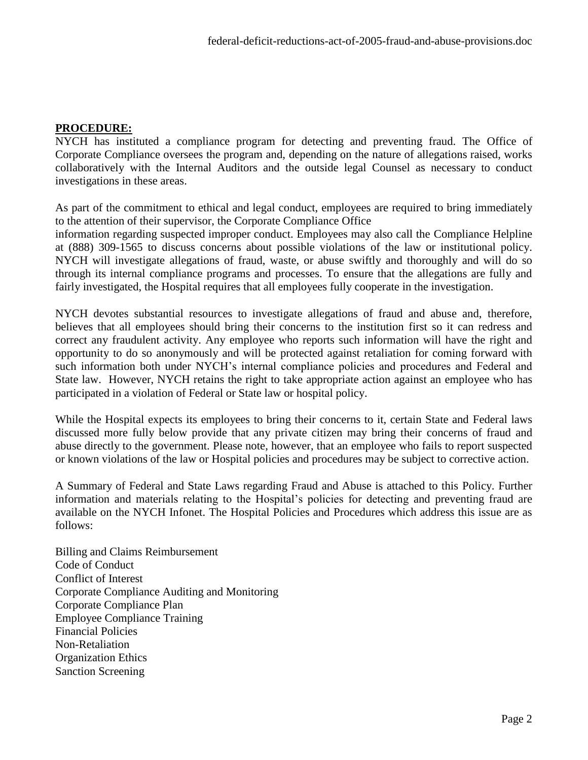## **PROCEDURE:**

NYCH has instituted a compliance program for detecting and preventing fraud. The Office of Corporate Compliance oversees the program and, depending on the nature of allegations raised, works collaboratively with the Internal Auditors and the outside legal Counsel as necessary to conduct investigations in these areas.

As part of the commitment to ethical and legal conduct, employees are required to bring immediately to the attention of their supervisor, the Corporate Compliance Office

information regarding suspected improper conduct. Employees may also call the Compliance Helpline at (888) 309-1565 to discuss concerns about possible violations of the law or institutional policy. NYCH will investigate allegations of fraud, waste, or abuse swiftly and thoroughly and will do so through its internal compliance programs and processes. To ensure that the allegations are fully and fairly investigated, the Hospital requires that all employees fully cooperate in the investigation.

NYCH devotes substantial resources to investigate allegations of fraud and abuse and, therefore, believes that all employees should bring their concerns to the institution first so it can redress and correct any fraudulent activity. Any employee who reports such information will have the right and opportunity to do so anonymously and will be protected against retaliation for coming forward with such information both under NYCH's internal compliance policies and procedures and Federal and State law. However, NYCH retains the right to take appropriate action against an employee who has participated in a violation of Federal or State law or hospital policy.

While the Hospital expects its employees to bring their concerns to it, certain State and Federal laws discussed more fully below provide that any private citizen may bring their concerns of fraud and abuse directly to the government. Please note, however, that an employee who fails to report suspected or known violations of the law or Hospital policies and procedures may be subject to corrective action.

A Summary of Federal and State Laws regarding Fraud and Abuse is attached to this Policy. Further information and materials relating to the Hospital's policies for detecting and preventing fraud are available on the NYCH Infonet. The Hospital Policies and Procedures which address this issue are as follows:

Billing and Claims Reimbursement Code of Conduct Conflict of Interest Corporate Compliance Auditing and Monitoring Corporate Compliance Plan Employee Compliance Training Financial Policies Non-Retaliation Organization Ethics Sanction Screening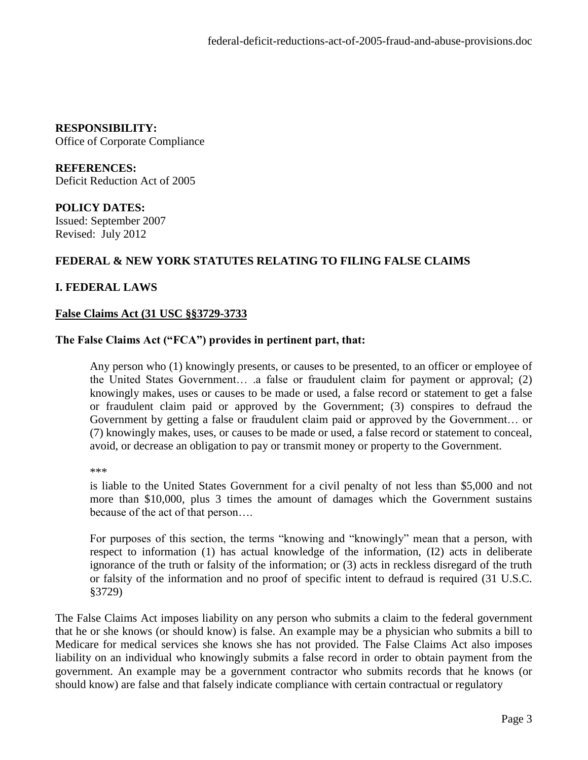**RESPONSIBILITY:** Office of Corporate Compliance

**REFERENCES:** Deficit Reduction Act of 2005

**POLICY DATES:** Issued: September 2007 Revised: July 2012

## **FEDERAL & NEW YORK STATUTES RELATING TO FILING FALSE CLAIMS**

## **I. FEDERAL LAWS**

#### **False Claims Act (31 USC §§3729-3733**

#### **The False Claims Act ("FCA") provides in pertinent part, that:**

Any person who (1) knowingly presents, or causes to be presented, to an officer or employee of the United States Government… .a false or fraudulent claim for payment or approval; (2) knowingly makes, uses or causes to be made or used, a false record or statement to get a false or fraudulent claim paid or approved by the Government; (3) conspires to defraud the Government by getting a false or fraudulent claim paid or approved by the Government… or (7) knowingly makes, uses, or causes to be made or used, a false record or statement to conceal, avoid, or decrease an obligation to pay or transmit money or property to the Government.

\*\*\*

is liable to the United States Government for a civil penalty of not less than \$5,000 and not more than \$10,000, plus 3 times the amount of damages which the Government sustains because of the act of that person….

For purposes of this section, the terms "knowing and "knowingly" mean that a person, with respect to information (1) has actual knowledge of the information, (I2) acts in deliberate ignorance of the truth or falsity of the information; or (3) acts in reckless disregard of the truth or falsity of the information and no proof of specific intent to defraud is required (31 U.S.C. §3729)

The False Claims Act imposes liability on any person who submits a claim to the federal government that he or she knows (or should know) is false. An example may be a physician who submits a bill to Medicare for medical services she knows she has not provided. The False Claims Act also imposes liability on an individual who knowingly submits a false record in order to obtain payment from the government. An example may be a government contractor who submits records that he knows (or should know) are false and that falsely indicate compliance with certain contractual or regulatory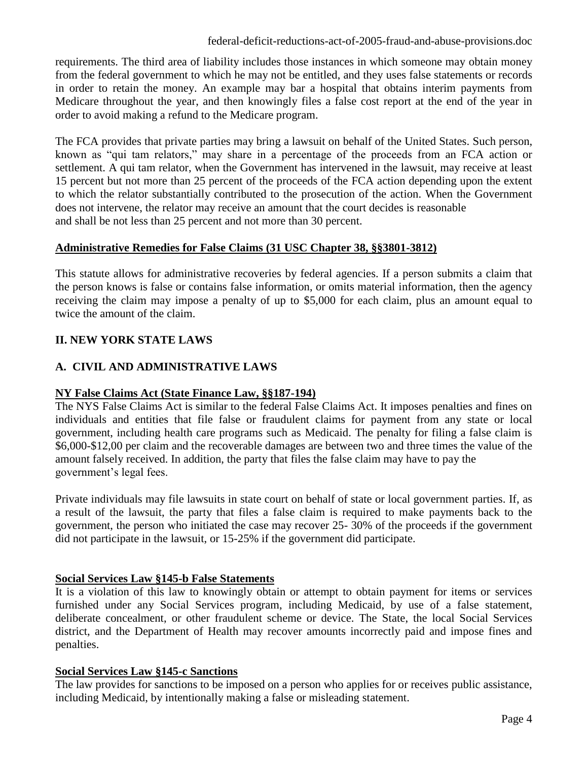requirements. The third area of liability includes those instances in which someone may obtain money from the federal government to which he may not be entitled, and they uses false statements or records in order to retain the money. An example may bar a hospital that obtains interim payments from Medicare throughout the year, and then knowingly files a false cost report at the end of the year in order to avoid making a refund to the Medicare program.

The FCA provides that private parties may bring a lawsuit on behalf of the United States. Such person, known as "qui tam relators," may share in a percentage of the proceeds from an FCA action or settlement. A qui tam relator, when the Government has intervened in the lawsuit, may receive at least 15 percent but not more than 25 percent of the proceeds of the FCA action depending upon the extent to which the relator substantially contributed to the prosecution of the action. When the Government does not intervene, the relator may receive an amount that the court decides is reasonable and shall be not less than 25 percent and not more than 30 percent.

## **Administrative Remedies for False Claims (31 USC Chapter 38, §§3801-3812)**

This statute allows for administrative recoveries by federal agencies. If a person submits a claim that the person knows is false or contains false information, or omits material information, then the agency receiving the claim may impose a penalty of up to \$5,000 for each claim, plus an amount equal to twice the amount of the claim.

## **II. NEW YORK STATE LAWS**

## **A. CIVIL AND ADMINISTRATIVE LAWS**

#### **NY False Claims Act (State Finance Law, §§187-194)**

The NYS False Claims Act is similar to the federal False Claims Act. It imposes penalties and fines on individuals and entities that file false or fraudulent claims for payment from any state or local government, including health care programs such as Medicaid. The penalty for filing a false claim is \$6,000-\$12,00 per claim and the recoverable damages are between two and three times the value of the amount falsely received. In addition, the party that files the false claim may have to pay the government's legal fees.

Private individuals may file lawsuits in state court on behalf of state or local government parties. If, as a result of the lawsuit, the party that files a false claim is required to make payments back to the government, the person who initiated the case may recover 25- 30% of the proceeds if the government did not participate in the lawsuit, or 15-25% if the government did participate.

## **Social Services Law §145-b False Statements**

It is a violation of this law to knowingly obtain or attempt to obtain payment for items or services furnished under any Social Services program, including Medicaid, by use of a false statement, deliberate concealment, or other fraudulent scheme or device. The State, the local Social Services district, and the Department of Health may recover amounts incorrectly paid and impose fines and penalties.

#### **Social Services Law §145-c Sanctions**

The law provides for sanctions to be imposed on a person who applies for or receives public assistance, including Medicaid, by intentionally making a false or misleading statement.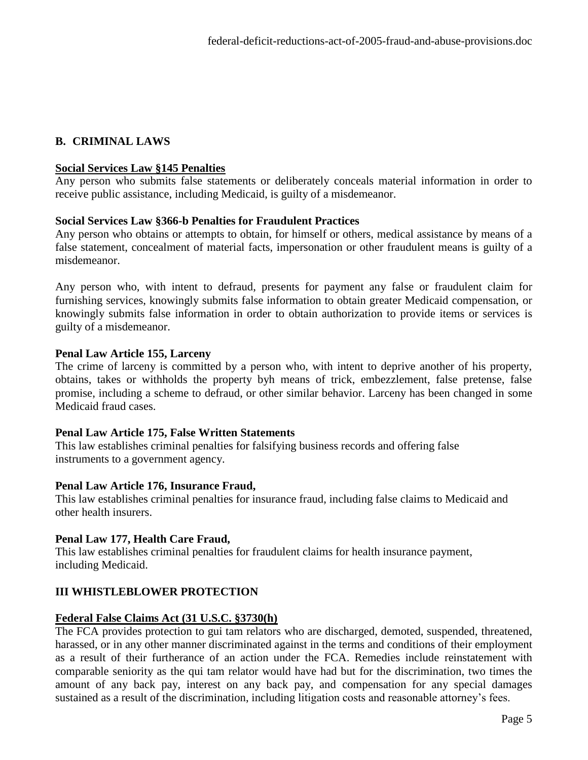## **B. CRIMINAL LAWS**

#### **Social Services Law §145 Penalties**

Any person who submits false statements or deliberately conceals material information in order to receive public assistance, including Medicaid, is guilty of a misdemeanor.

#### **Social Services Law §366-b Penalties for Fraudulent Practices**

Any person who obtains or attempts to obtain, for himself or others, medical assistance by means of a false statement, concealment of material facts, impersonation or other fraudulent means is guilty of a misdemeanor.

Any person who, with intent to defraud, presents for payment any false or fraudulent claim for furnishing services, knowingly submits false information to obtain greater Medicaid compensation, or knowingly submits false information in order to obtain authorization to provide items or services is guilty of a misdemeanor.

#### **Penal Law Article 155, Larceny**

The crime of larceny is committed by a person who, with intent to deprive another of his property, obtains, takes or withholds the property byh means of trick, embezzlement, false pretense, false promise, including a scheme to defraud, or other similar behavior. Larceny has been changed in some Medicaid fraud cases.

#### **Penal Law Article 175, False Written Statements**

This law establishes criminal penalties for falsifying business records and offering false instruments to a government agency.

## **Penal Law Article 176, Insurance Fraud,**

This law establishes criminal penalties for insurance fraud, including false claims to Medicaid and other health insurers.

## **Penal Law 177, Health Care Fraud,**

This law establishes criminal penalties for fraudulent claims for health insurance payment, including Medicaid.

## **III WHISTLEBLOWER PROTECTION**

## **Federal False Claims Act (31 U.S.C. §3730(h)**

The FCA provides protection to gui tam relators who are discharged, demoted, suspended, threatened, harassed, or in any other manner discriminated against in the terms and conditions of their employment as a result of their furtherance of an action under the FCA. Remedies include reinstatement with comparable seniority as the qui tam relator would have had but for the discrimination, two times the amount of any back pay, interest on any back pay, and compensation for any special damages sustained as a result of the discrimination, including litigation costs and reasonable attorney's fees.